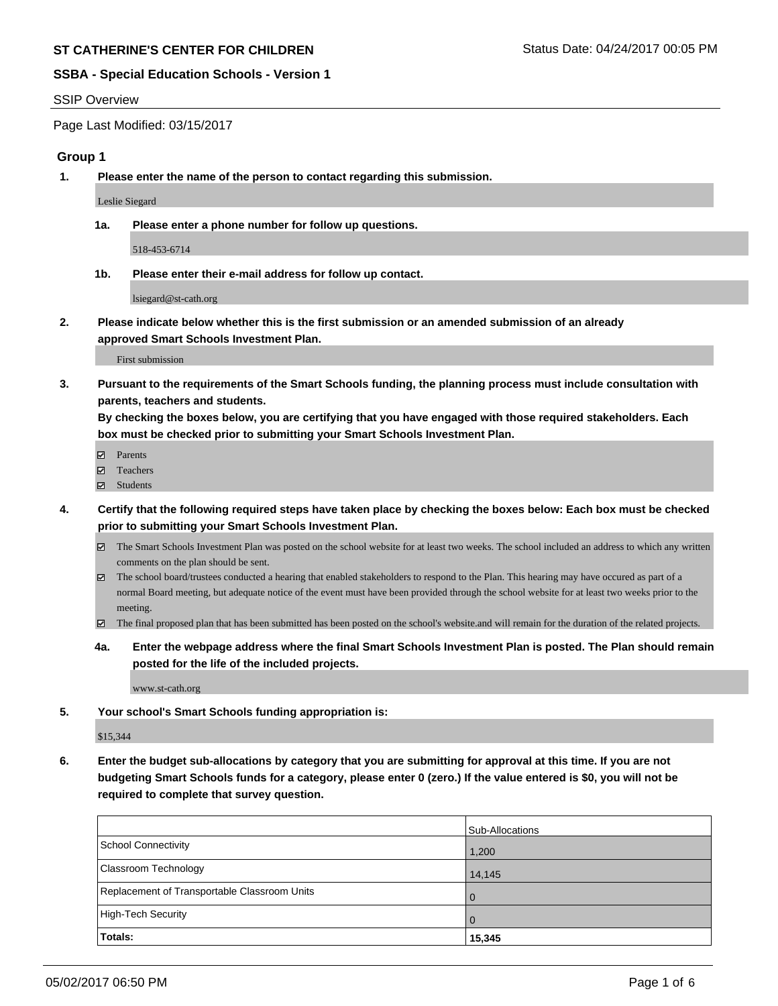### SSIP Overview

Page Last Modified: 03/15/2017

# **Group 1**

**1. Please enter the name of the person to contact regarding this submission.**

Leslie Siegard

**1a. Please enter a phone number for follow up questions.**

518-453-6714

**1b. Please enter their e-mail address for follow up contact.**

lsiegard@st-cath.org

**2. Please indicate below whether this is the first submission or an amended submission of an already approved Smart Schools Investment Plan.**

First submission

**3. Pursuant to the requirements of the Smart Schools funding, the planning process must include consultation with parents, teachers and students.**

**By checking the boxes below, you are certifying that you have engaged with those required stakeholders. Each box must be checked prior to submitting your Smart Schools Investment Plan.**

- **Ø** Parents
- Teachers
- Students
- **4. Certify that the following required steps have taken place by checking the boxes below: Each box must be checked prior to submitting your Smart Schools Investment Plan.**
	- The Smart Schools Investment Plan was posted on the school website for at least two weeks. The school included an address to which any written comments on the plan should be sent.
	- The school board/trustees conducted a hearing that enabled stakeholders to respond to the Plan. This hearing may have occured as part of a normal Board meeting, but adequate notice of the event must have been provided through the school website for at least two weeks prior to the meeting.
	- The final proposed plan that has been submitted has been posted on the school's website.and will remain for the duration of the related projects.
	- **4a. Enter the webpage address where the final Smart Schools Investment Plan is posted. The Plan should remain posted for the life of the included projects.**

www.st-cath.org

**5. Your school's Smart Schools funding appropriation is:**

\$15,344

**6. Enter the budget sub-allocations by category that you are submitting for approval at this time. If you are not budgeting Smart Schools funds for a category, please enter 0 (zero.) If the value entered is \$0, you will not be required to complete that survey question.**

|                                              | Sub-Allocations |
|----------------------------------------------|-----------------|
| School Connectivity                          | 1,200           |
| <b>Classroom Technology</b>                  | 14,145          |
| Replacement of Transportable Classroom Units | $\Omega$        |
| High-Tech Security                           | $\Omega$        |
| Totals:                                      | 15,345          |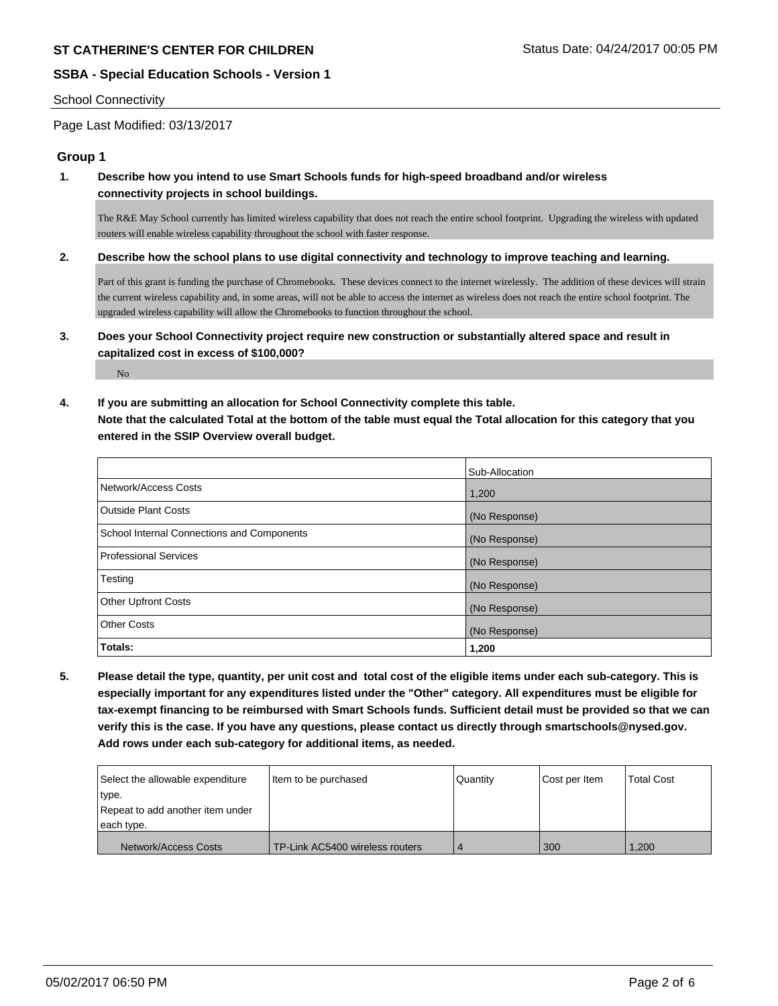### School Connectivity

No

Page Last Modified: 03/13/2017

# **Group 1**

**1. Describe how you intend to use Smart Schools funds for high-speed broadband and/or wireless connectivity projects in school buildings.**

The R&E May School currently has limited wireless capability that does not reach the entire school footprint. Upgrading the wireless with updated routers will enable wireless capability throughout the school with faster response.

**2. Describe how the school plans to use digital connectivity and technology to improve teaching and learning.**

Part of this grant is funding the purchase of Chromebooks. These devices connect to the internet wirelessly. The addition of these devices will strain the current wireless capability and, in some areas, will not be able to access the internet as wireless does not reach the entire school footprint. The upgraded wireless capability will allow the Chromebooks to function throughout the school.

- **3. Does your School Connectivity project require new construction or substantially altered space and result in capitalized cost in excess of \$100,000?**
- **4. If you are submitting an allocation for School Connectivity complete this table. Note that the calculated Total at the bottom of the table must equal the Total allocation for this category that you entered in the SSIP Overview overall budget.**

|                                            | Sub-Allocation |
|--------------------------------------------|----------------|
| Network/Access Costs                       | 1,200          |
| <b>Outside Plant Costs</b>                 | (No Response)  |
| School Internal Connections and Components | (No Response)  |
| <b>Professional Services</b>               | (No Response)  |
| Testing                                    | (No Response)  |
| <b>Other Upfront Costs</b>                 | (No Response)  |
| <b>Other Costs</b>                         | (No Response)  |
| Totals:                                    | 1,200          |

**5. Please detail the type, quantity, per unit cost and total cost of the eligible items under each sub-category. This is especially important for any expenditures listed under the "Other" category. All expenditures must be eligible for tax-exempt financing to be reimbursed with Smart Schools funds. Sufficient detail must be provided so that we can verify this is the case. If you have any questions, please contact us directly through smartschools@nysed.gov. Add rows under each sub-category for additional items, as needed.**

| Select the allowable expenditure | Item to be purchased            | <b>Quantity</b> | Cost per Item | <b>Total Cost</b> |
|----------------------------------|---------------------------------|-----------------|---------------|-------------------|
| type.                            |                                 |                 |               |                   |
| Repeat to add another item under |                                 |                 |               |                   |
| each type.                       |                                 |                 |               |                   |
| Network/Access Costs             | TP-Link AC5400 wireless routers |                 | 300           | 1.200             |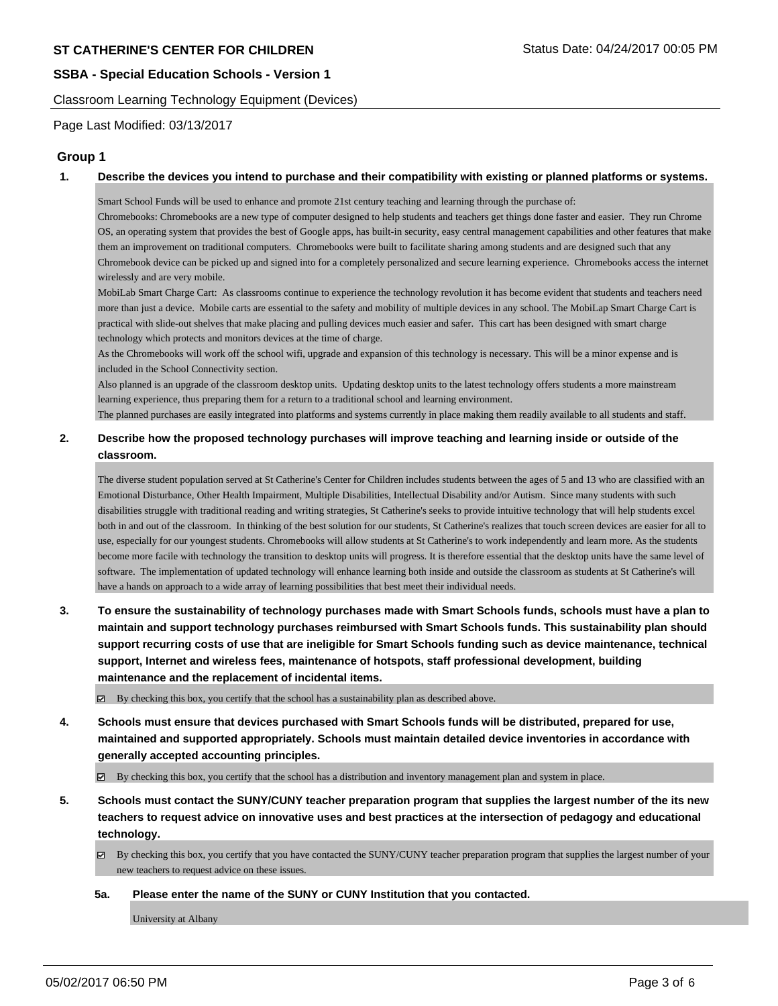Classroom Learning Technology Equipment (Devices)

Page Last Modified: 03/13/2017

# **Group 1**

#### **1. Describe the devices you intend to purchase and their compatibility with existing or planned platforms or systems.**

Smart School Funds will be used to enhance and promote 21st century teaching and learning through the purchase of:

Chromebooks: Chromebooks are a new type of computer designed to help students and teachers get things done faster and easier. They run Chrome OS, an operating system that provides the best of Google apps, has built-in security, easy central management capabilities and other features that make them an improvement on traditional computers. Chromebooks were built to facilitate sharing among students and are designed such that any Chromebook device can be picked up and signed into for a completely personalized and secure learning experience. Chromebooks access the internet wirelessly and are very mobile.

MobiLab Smart Charge Cart: As classrooms continue to experience the technology revolution it has become evident that students and teachers need more than just a device. Mobile carts are essential to the safety and mobility of multiple devices in any school. The MobiLap Smart Charge Cart is practical with slide-out shelves that make placing and pulling devices much easier and safer. This cart has been designed with smart charge technology which protects and monitors devices at the time of charge.

As the Chromebooks will work off the school wifi, upgrade and expansion of this technology is necessary. This will be a minor expense and is included in the School Connectivity section.

Also planned is an upgrade of the classroom desktop units. Updating desktop units to the latest technology offers students a more mainstream learning experience, thus preparing them for a return to a traditional school and learning environment.

The planned purchases are easily integrated into platforms and systems currently in place making them readily available to all students and staff.

### **2. Describe how the proposed technology purchases will improve teaching and learning inside or outside of the classroom.**

The diverse student population served at St Catherine's Center for Children includes students between the ages of 5 and 13 who are classified with an Emotional Disturbance, Other Health Impairment, Multiple Disabilities, Intellectual Disability and/or Autism. Since many students with such disabilities struggle with traditional reading and writing strategies, St Catherine's seeks to provide intuitive technology that will help students excel both in and out of the classroom. In thinking of the best solution for our students, St Catherine's realizes that touch screen devices are easier for all to use, especially for our youngest students. Chromebooks will allow students at St Catherine's to work independently and learn more. As the students become more facile with technology the transition to desktop units will progress. It is therefore essential that the desktop units have the same level of software. The implementation of updated technology will enhance learning both inside and outside the classroom as students at St Catherine's will have a hands on approach to a wide array of learning possibilities that best meet their individual needs.

**3. To ensure the sustainability of technology purchases made with Smart Schools funds, schools must have a plan to maintain and support technology purchases reimbursed with Smart Schools funds. This sustainability plan should support recurring costs of use that are ineligible for Smart Schools funding such as device maintenance, technical support, Internet and wireless fees, maintenance of hotspots, staff professional development, building maintenance and the replacement of incidental items.**

By checking this box, you certify that the school has a sustainability plan as described above.

**4. Schools must ensure that devices purchased with Smart Schools funds will be distributed, prepared for use, maintained and supported appropriately. Schools must maintain detailed device inventories in accordance with generally accepted accounting principles.**

By checking this box, you certify that the school has a distribution and inventory management plan and system in place.

- **5. Schools must contact the SUNY/CUNY teacher preparation program that supplies the largest number of the its new teachers to request advice on innovative uses and best practices at the intersection of pedagogy and educational technology.**
	- $\boxtimes$  By checking this box, you certify that you have contacted the SUNY/CUNY teacher preparation program that supplies the largest number of your new teachers to request advice on these issues.

### **5a. Please enter the name of the SUNY or CUNY Institution that you contacted.**

University at Albany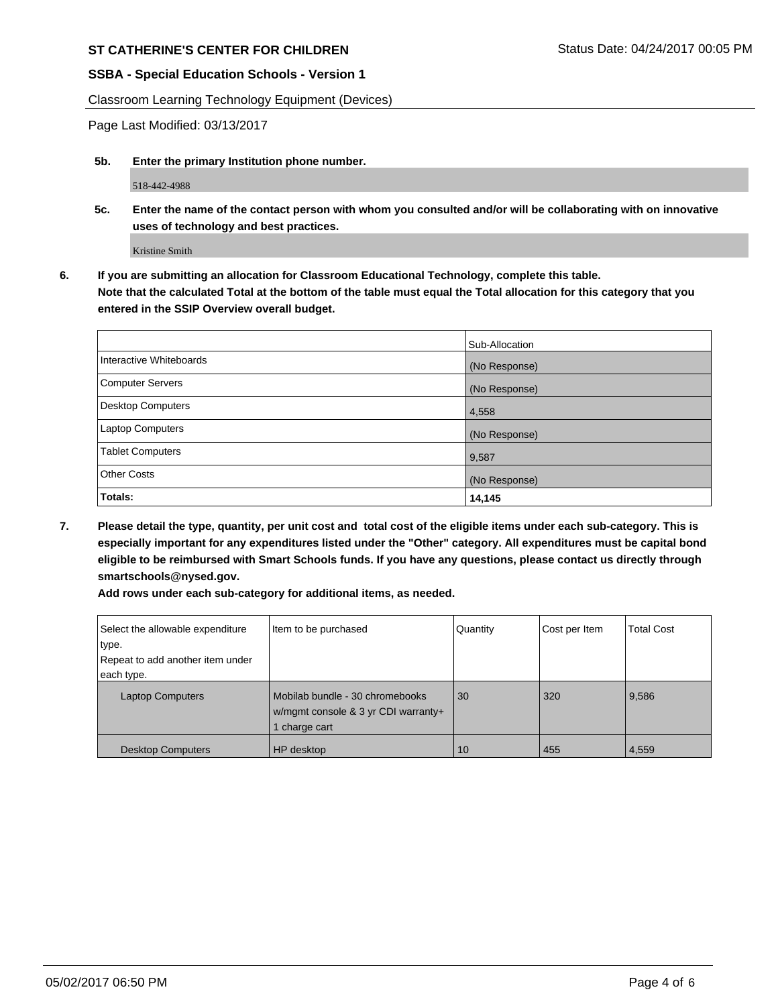# **ST CATHERINE'S CENTER FOR CHILDREN** STRANGER STATUS Date: 04/24/2017 00:05 PM

# **SSBA - Special Education Schools - Version 1**

Classroom Learning Technology Equipment (Devices)

Page Last Modified: 03/13/2017

**5b. Enter the primary Institution phone number.**

518-442-4988

**5c. Enter the name of the contact person with whom you consulted and/or will be collaborating with on innovative uses of technology and best practices.**

Kristine Smith

**6. If you are submitting an allocation for Classroom Educational Technology, complete this table. Note that the calculated Total at the bottom of the table must equal the Total allocation for this category that you entered in the SSIP Overview overall budget.**

|                          | Sub-Allocation |
|--------------------------|----------------|
| Interactive Whiteboards  | (No Response)  |
| Computer Servers         | (No Response)  |
| <b>Desktop Computers</b> | 4,558          |
| Laptop Computers         | (No Response)  |
| <b>Tablet Computers</b>  | 9,587          |
| Other Costs              | (No Response)  |
| Totals:                  | 14,145         |

**7. Please detail the type, quantity, per unit cost and total cost of the eligible items under each sub-category. This is especially important for any expenditures listed under the "Other" category. All expenditures must be capital bond eligible to be reimbursed with Smart Schools funds. If you have any questions, please contact us directly through smartschools@nysed.gov.**

**Add rows under each sub-category for additional items, as needed.**

| Select the allowable expenditure | Item to be purchased                                                                  | Quantity | Cost per Item | <b>Total Cost</b> |
|----------------------------------|---------------------------------------------------------------------------------------|----------|---------------|-------------------|
| type.                            |                                                                                       |          |               |                   |
| Repeat to add another item under |                                                                                       |          |               |                   |
| each type.                       |                                                                                       |          |               |                   |
| <b>Laptop Computers</b>          | Mobilab bundle - 30 chromebooks<br>w/mgmt console & 3 yr CDI warranty+<br>charge cart | 30       | 320           | 9,586             |
| <b>Desktop Computers</b>         | HP desktop                                                                            | 10       | 455           | 4,559             |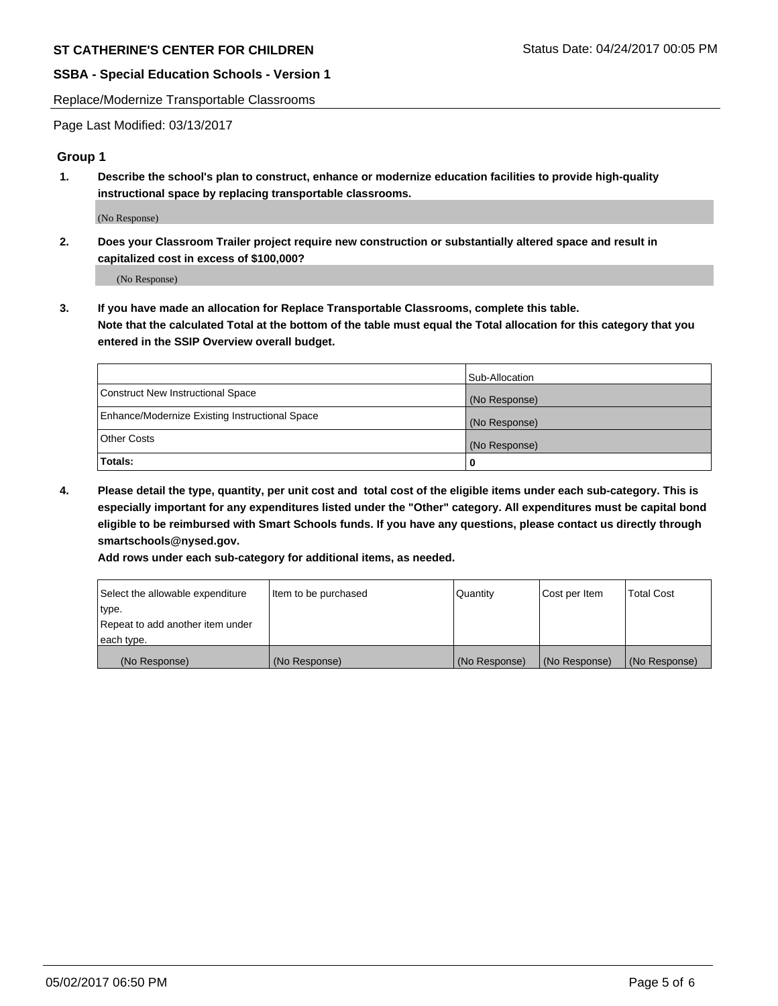Replace/Modernize Transportable Classrooms

Page Last Modified: 03/13/2017

# **Group 1**

**1. Describe the school's plan to construct, enhance or modernize education facilities to provide high-quality instructional space by replacing transportable classrooms.**

(No Response)

**2. Does your Classroom Trailer project require new construction or substantially altered space and result in capitalized cost in excess of \$100,000?**

(No Response)

**3. If you have made an allocation for Replace Transportable Classrooms, complete this table. Note that the calculated Total at the bottom of the table must equal the Total allocation for this category that you entered in the SSIP Overview overall budget.**

|                                                | Sub-Allocation |
|------------------------------------------------|----------------|
| Construct New Instructional Space              | (No Response)  |
| Enhance/Modernize Existing Instructional Space | (No Response)  |
| <b>Other Costs</b>                             | (No Response)  |
| <b>Totals:</b>                                 |                |

**4. Please detail the type, quantity, per unit cost and total cost of the eligible items under each sub-category. This is especially important for any expenditures listed under the "Other" category. All expenditures must be capital bond eligible to be reimbursed with Smart Schools funds. If you have any questions, please contact us directly through smartschools@nysed.gov.**

**Add rows under each sub-category for additional items, as needed.**

| Select the allowable expenditure | Item to be purchased | Quantity      | Cost per Item | <b>Total Cost</b> |
|----------------------------------|----------------------|---------------|---------------|-------------------|
| type.                            |                      |               |               |                   |
| Repeat to add another item under |                      |               |               |                   |
| each type.                       |                      |               |               |                   |
| (No Response)                    | (No Response)        | (No Response) | (No Response) | (No Response)     |